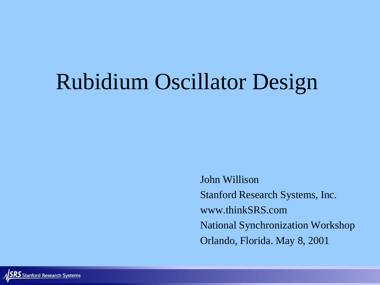# Rubidium Oscillator Design

John Willison Stanford Research Systems, Inc. www.thinkSRS.com National Synchronization Workshop Orlando, Florida. May 8, 2001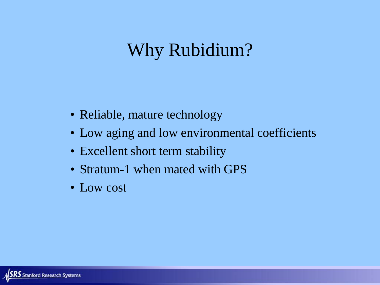#### Why Rubidium?

- Reliable, mature technology
- Low aging and low environmental coefficients
- Excellent short term stability
- Stratum-1 when mated with GPS
- Low cost

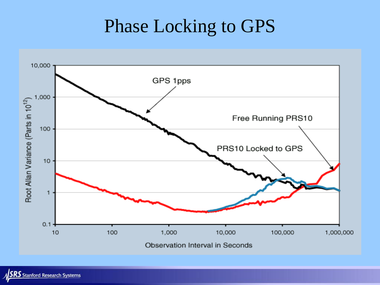### Phase Locking to GPS

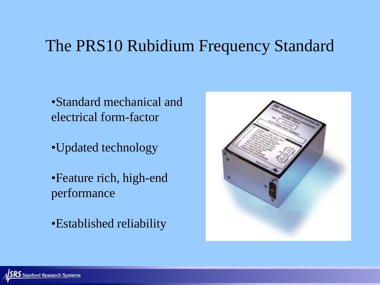#### The PRS10 Rubidium Frequency Standard

•Standard mechanical and electrical form-factor

•Updated technology

•Feature rich, high-end performance

•Established reliability

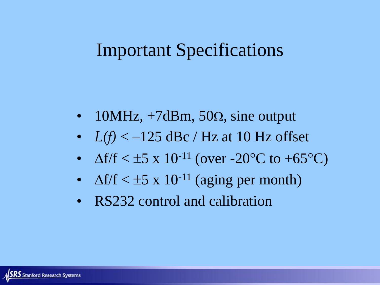#### Important Specifications

- 10MHz,  $+7dBm$ , 50 $\Omega$ , sine output
- $L(f) < -125$  dBc / Hz at 10 Hz offset
- $\Delta f/f < \pm 5 \times 10^{-11}$  (over -20°C to +65°C)
- $\Delta f/f < \pm 5 \times 10^{-11}$  (aging per month)
- RS232 control and calibration

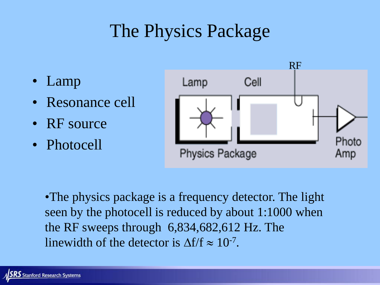# The Physics Package

- Lamp
- Resonance cell
- RF source
- Photocell



•The physics package is a frequency detector. The light seen by the photocell is reduced by about 1:1000 when the RF sweeps through 6,834,682,612 Hz. The linewidth of the detector is  $\Delta f/f \approx 10^{-7}$ .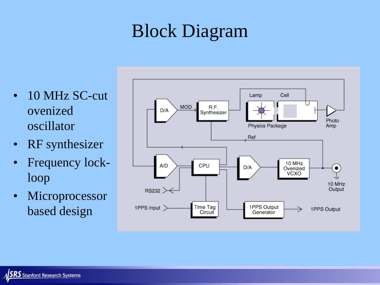# Block Diagram

- 10 MHz SC-cut ovenized oscillator
- RF synthesizer
- Frequency lockloop
- Microprocessor based design

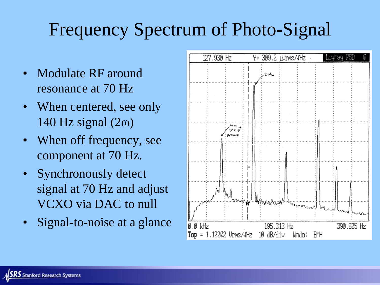# Frequency Spectrum of Photo-Signal

- Modulate RF around resonance at 70 Hz
- When centered, see only  $140$  Hz signal  $(2\omega)$
- When off frequency, see component at 70 Hz.
- Synchronously detect signal at 70 Hz and adjust VCXO via DAC to null
- Signal-to-noise at a glance

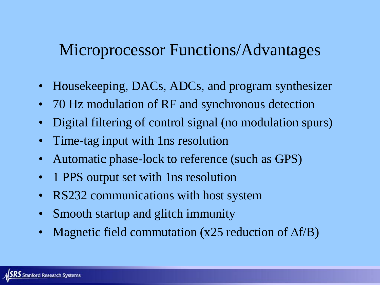#### Microprocessor Functions/Advantages

- Housekeeping, DACs, ADCs, and program synthesizer
- 70 Hz modulation of RF and synchronous detection
- Digital filtering of control signal (no modulation spurs)
- Time-tag input with 1 ns resolution
- Automatic phase-lock to reference (such as GPS)
- 1 PPS output set with 1 ns resolution
- RS232 communications with host system
- Smooth startup and glitch immunity
- Magnetic field commutation (x25 reduction of  $\Delta f/B$ )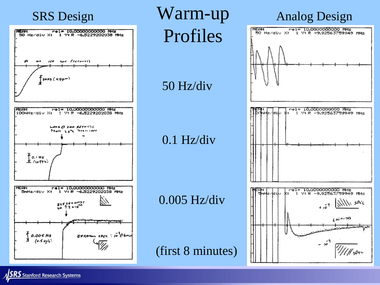

**SRS** Stanford Research Systems

SRS Design **Warm-up** Analog Design Profiles

50 Hz/div

#### 0.1 Hz/div

#### 0.005 Hz/div

(first 8 minutes)

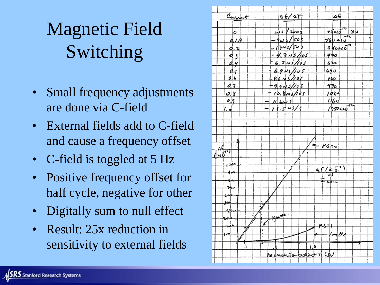# Magnetic Field Switching

- Small frequency adjustments are done via C-field
- External fields add to C-field and cause a frequency offset
- C-field is toggled at 5 Hz
- Positive frequency offset for half cycle, negative for other
- Digitally sum to null effect
- Result: 25x reduction in sensitivity to external fields

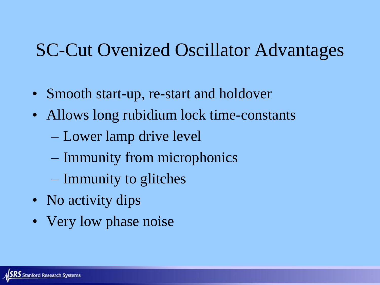### SC-Cut Ovenized Oscillator Advantages

- Smooth start-up, re-start and holdover
- Allows long rubidium lock time-constants
	- Lower lamp drive level
	- Immunity from microphonics
	- Immunity to glitches
- No activity dips
- Very low phase noise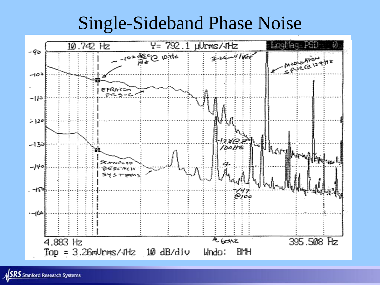#### Single-Sideband Phase Noise

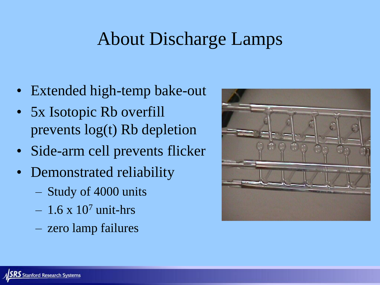# About Discharge Lamps

- Extended high-temp bake-out
- 5x Isotopic Rb overfill prevents log(t) Rb depletion
- Side-arm cell prevents flicker
- Demonstrated reliability
	- Study of 4000 units
	- $-1.6 \times 10^7$  unit-hrs
	- zero lamp failures

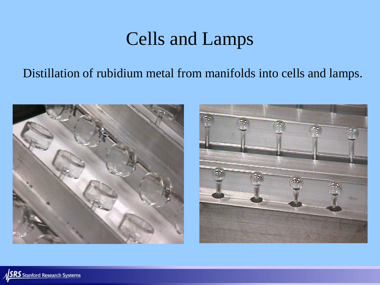# Cells and Lamps

#### Distillation of rubidium metal from manifolds into cells and lamps.





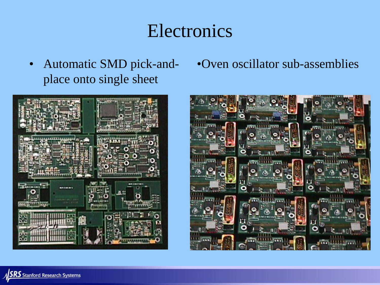#### Electronics

• Automatic SMD pick-andplace onto single sheet



•Oven oscillator sub-assemblies

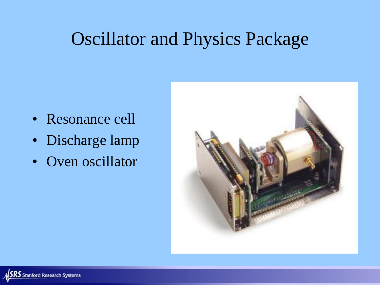### Oscillator and Physics Package

- Resonance cell
- Discharge lamp
- Oven oscillator

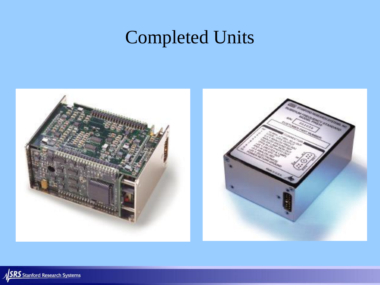# Completed Units



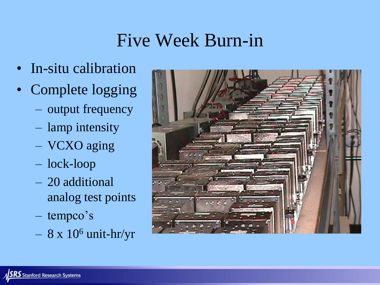# Five Week Burn-in

- In-situ calibration
- Complete logging
	- output frequency
	- lamp intensity
	- VCXO aging
	- lock-loop
	- 20 additional analog test points
	- tempco's
	- $-8$  x  $10<sup>6</sup>$  unit-hr/yr

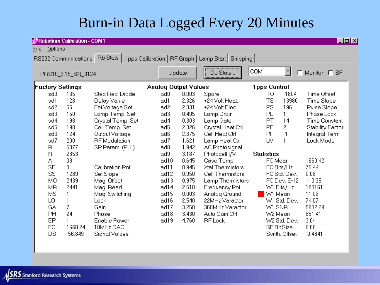#### Burn-in Data Logged Every 20 Minutes

| Rubidium Calibration - COM1<br>$\Box$ o $\boxtimes$                                       |                                                     |                                         |                                                                            |  |                                                     |                                                             |                                                                                                                           |                              |                                                                     |                                                         |  |
|-------------------------------------------------------------------------------------------|-----------------------------------------------------|-----------------------------------------|----------------------------------------------------------------------------|--|-----------------------------------------------------|-------------------------------------------------------------|---------------------------------------------------------------------------------------------------------------------------|------------------------------|---------------------------------------------------------------------|---------------------------------------------------------|--|
| Options<br>Eile                                                                           |                                                     |                                         |                                                                            |  |                                                     |                                                             |                                                                                                                           |                              |                                                                     |                                                         |  |
| Rb Stats   1 pps Calibration   RF Graph   Lamp Start   Shipping  <br>RS232 Communications |                                                     |                                         |                                                                            |  |                                                     |                                                             |                                                                                                                           |                              |                                                                     |                                                         |  |
|                                                                                           | PRS10_3.15_SN_3124                                  |                                         |                                                                            |  | Update                                              |                                                             | <br>Do Stats                                                                                                              | COM1                         | ⊣<br>п                                                              | Monitor E SF                                            |  |
|                                                                                           | <b>Factory Settings</b>                             |                                         |                                                                            |  | <b>Analog Output Values</b>                         |                                                             |                                                                                                                           | 1pps Control                 |                                                                     |                                                         |  |
|                                                                                           | sd0<br>sd1<br>sd2                                   | 135<br>128<br>55                        | Step Rec. Diode<br>Delay Value<br>Fet Voltage Set                          |  | ad0<br>ad1<br>ad2                                   | 0.003<br>2.326<br>2.331                                     | Spare<br>+24 Volt Heat.<br>+24 Volt Elec.                                                                                 | TO.<br>TS<br>PS              | $-1804$<br>13980<br>196                                             | Time Offset<br>Time Slope<br>Pulse Slope                |  |
|                                                                                           | sd3<br>sd4<br>sd5                                   | 150<br>198<br>190                       | Lamp Temp. Set<br>Crystal Temp. Set<br>Cell Temp, Set                      |  | ad3<br>ad4<br>ad5                                   | 0.495<br>0.303<br>2.326                                     | Lamp Drain<br>Lamp Gate<br>Crystal Heat Ctrl                                                                              | PL<br>PT<br>PF               | 1.<br>14<br>2                                                       | Phase Lock<br><b>Time Constant</b><br>Stability Factor  |  |
|                                                                                           | sd6<br>sd7<br>R                                     | 124<br>200<br>5077                      | Output Voltage<br><b>RF</b> Modulation<br>SP Param. (PLL)                  |  | ad6<br>ad7<br>ad8                                   | 2.375<br>1.621<br>1.942                                     | Cell Heat Ctrl<br>Lamp Heat Ctrl<br>AC Photosignal                                                                        | PI.<br>LМ                    | $-1$                                                                | Integral Term<br>Lock Mode                              |  |
|                                                                                           | Ν<br>А<br><b>SF</b><br>SS<br>MO.<br><b>MR</b><br>MS | 2853<br>38<br>8<br>1289<br>2439<br>2441 | Calibration Pot<br>Set Slope<br>Mag. Offset<br>Mag. Read<br>Mag. Switching |  | ad9<br>ad10<br>ad11<br>ad12<br>ad13<br>ad14<br>ad15 | 3.187<br>0.645<br>0.945<br>0.950<br>0.975<br>2.510<br>0.003 | Photocell I/V<br>Case Temp.<br>Xtal Thermistors<br>Cell Thermistors<br>Lamp Thermistors<br>Frequency Pot<br>Analog Ground | <b>Statistics</b><br>FC Mean | FC Bits/Hz<br>FC Std. Dev.<br>FC Dev. E-12<br>W1 Bits/Hz<br>W1 Mean | 1660.42<br>75.44<br>0.08<br>110.35<br>198161<br>11.06   |  |
|                                                                                           | LO<br>GA<br>PH<br>EP<br>FC.<br>DS                   | 7<br>24<br>1660.24<br>$-56,849$         | Lock<br>Gain<br>Phase<br><b>Enable Power</b><br>10MHz DAC<br>Signal Values |  | ad16<br>ad17<br>ad18<br>ad19                        | 2.540<br>3.250<br>3.430<br>4.760                            | 22MHz Varactor<br>360MHz Varactor<br>Auto Gain Ctrl<br><b>RF</b> Lock                                                     | W1 SNR<br>W2 Mean            | W1 Std. Dev.<br>W2 Std. Dev.<br><b>SF Bit Size</b><br>Synth. Offset | 74.07<br>5982.29<br>851.41<br>3.04<br>0.86<br>$-0.4841$ |  |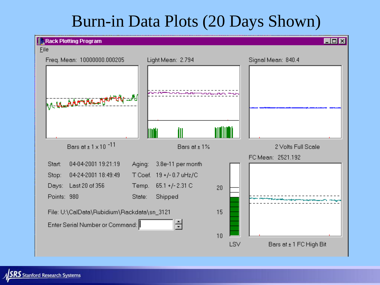#### Burn-in Data Plots (20 Days Shown)



 $RS$  Stanford Research Systems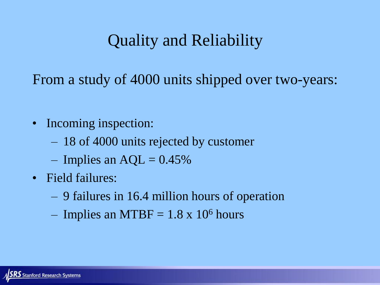#### Quality and Reliability

From a study of 4000 units shipped over two-years:

- Incoming inspection:
	- 18 of 4000 units rejected by customer
	- Implies an  $AQL = 0.45\%$
- Field failures:
	- 9 failures in 16.4 million hours of operation
	- Implies an MTBF =  $1.8 \times 10^6$  hours